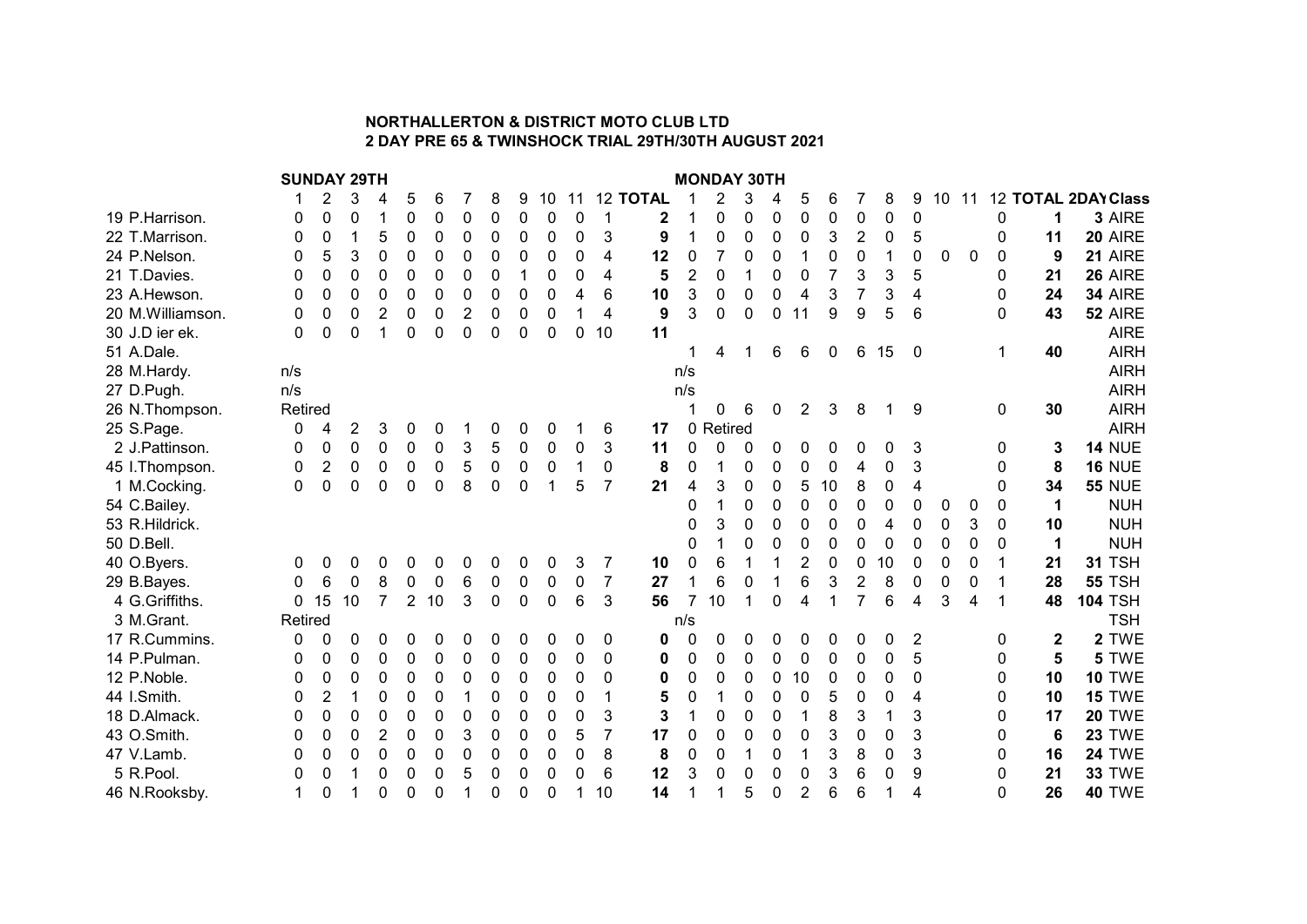## NORTHALLERTON & DISTRICT MOTO CLUB LTD 2 DAY PRE 65 & TWINSHOCK TRIAL 29TH/30TH AUGUST 2021

SUNDAY 29TH MONDAY 30TH 1 2 3 4 5 6 7 8 9 10 11 12 **TOTAL** 1 2 3 4 5 6 7 8 9 10 11 12 **TOTAL 2DAY Class**<br>0 0 0 1 0 0 0 0 0 0 0 1 **2** 1 0 0 0 0 0 0 0 0 0 0 **1 3** AIRE 19 P.Harrison. 0 0 0 1 0 0 0 0 0 0 0 1 2 1 0 0 0 0 0 0 0 0 0 1 3 AIRE 22 T.Marrison. 0 0 1 5 0 0 0 0 0 0 0 3 9 1 0 0 0 0 3 2 0 5 0 11 20 AIRE 24 P.Nelson. 0 5 3 0 0 0 0 0 0 0 0 4 12 0 7 0 0 1 0 0 1 0 0 0 0 9 21 AIRE 21 T.Davies. 0 0 0 0 0 0 0 0 0 1 0 0 4 **5** 2 0 1 0 0 7 3 3 5 0 **21 26** AIRE 23 A.Hewson. 0 0 0 0 0 0 0 0 0 0 4 6 10 3 0 0 0 4 3 7 3 4 0 24 34 AIRE 20 M.Williamson. 0 0 0 2 0 0 2 0 0 0 1 4 **9** 3 0 0 0 11 9 9 5 6 0 **43 52** AIRE 30 J.D ier ek. 0 0 0 0 1 0 0 0 0 0 0 0 10 11 51 A.Dale. 1 4 1 6 6 0 6 15 0 1 40 AIRH 28 M.Hardy. **Example 28 M.Hardy.** Note 2014 12:38 M.Hardy. **n/s** and the control of the control of the control of the control of the control of the control of the control of the control of the control of the control of the 27 D.Pugh. n/s n/s AIRH 26 N.Thompson. Retired **1 0 6 0 2 3 8 1 9 0 30** AIRH 25 S.Page. 0 4 2 3 0 0 1 0 0 0 1 6 **17** 0 Retired AIRH 2 J.Pattinson. 0 0 0 0 0 0 3 5 0 0 0 3 11 0 0 0 0 0 0 0 0 3 0 3 14 NUE 45 I.Thompson. 0 2 0 0 0 0 5 0 0 0 1 0 8 0 1 0 0 0 0 4 0 3 0 8 16 NUE 1 M.Cocking. 0 0 0 0 0 0 8 0 0 1 5 7 21 4 3 0 0 5 10 8 0 4 0 34 55 NUE 54 C.Bailey. 0 1 0 0 0 0 0 0 0 0 0 0 1 NUH 53 R.Hildrick. 0 3 0 0 0 0 0 4 0 0 3 0 10 NUH 50 D.Bell. 0 1 0 0 0 0 0 0 0 0 0 0 1 NUH 40 O.Byers. 0 0 0 0 0 0 0 0 0 0 3 7 10 0 6 1 1 2 0 0 10 0 0 0 1 21 31 TSH 29 B.Bayes. 0 6 0 8 0 0 6 0 0 0 0 7 **27** 1 6 0 1 6 3 2 8 0 0 0 1 **28 55** TSH 4 G.Griffiths. 0 15 10 7 2 10 3 0 0 0 6 3 **56** 7 10 1 0 4 1 7 6 4 3 4 1 **48 104** TSH 3 M.Grant. **Example 19 Setting 19th Contract Contract Contract Contract Contract Contract Contract Contract Contract Contract Contract Contract Contract Contract Contract Contract Contract Contract Contract Contract Contra** 17 R.Cummins. 0 0 0 0 0 0 0 0 0 0 0 0 0 0 0 0 0 0 0 0 0 2 0 2 2 TWE 14 P.Pulman. 0 0 0 0 0 0 0 0 0 0 0 0 0 0 0 0 0 0 0 0 0 5 0 5 5 TWE 12 P.Noble. 0 0 0 0 0 0 0 0 0 0 0 0 0 0 0 0 0 10 0 0 0 0 0 10 10 TWE 44 I.Smith. 0 2 1 0 0 0 1 0 0 0 0 1 0 5 0 1 0 0 0 5 0 0 4 0 10 15 TWE 18 D.Almack. 0 0 0 0 0 0 0 0 0 0 0 3 3 1 0 0 0 1 8 3 1 3 0 17 20 TWE 43 O.Smith. 0 0 0 2 0 0 3 0 0 0 5 7 17 0 0 0 0 0 3 0 0 3 0 0 6 23 TWE 47 V.Lamb. 0 0 0 0 0 0 0 0 0 0 0 8 8 0 0 1 0 1 3 8 0 3 0 16 24 TWE 5 R.Pool. 0 0 1 0 0 0 5 0 0 0 0 6 12 3 0 0 0 0 3 6 0 9 0 21 33 TWE

46 N.Rooksby. 1 0 1 0 0 0 1 0 0 0 1 10 **14** 1 1 5 0 2 6 6 1 4 0 **26 40** TWE